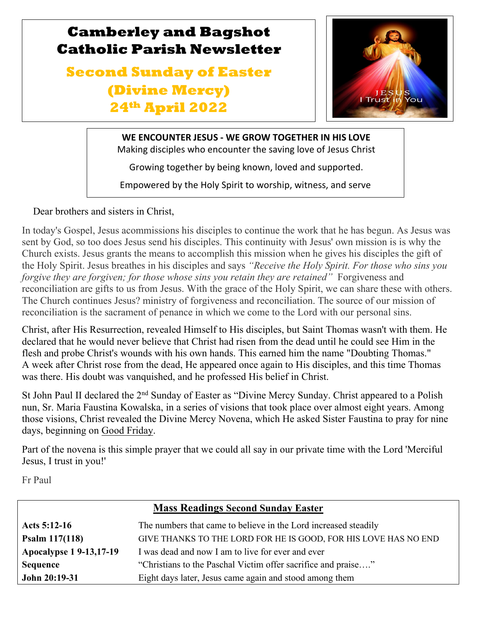## **Camberley and Bagshot Catholic Parish Newsletter**

# **Second Sunday of Easter (Divine Mercy) 24th April 2022**



**WE ENCOUNTER JESUS - WE GROW TOGETHER IN HIS LOVE** Making disciples who encounter the saving love of Jesus Christ

Growing together by being known, loved and supported.

Empowered by the Holy Spirit to worship, witness, and serve

Dear brothers and sisters in Christ,

In today's Gospel, Jesus acommissions his disciples to continue the work that he has begun. As Jesus was sent by God, so too does Jesus send his disciples. This continuity with Jesus' own mission is is why the Church exists. Jesus grants the means to accomplish this mission when he gives his disciples the gift of the Holy Spirit. Jesus breathes in his disciples and says *"Receive the Holy Spirit. For those who sins you forgive they are forgiven; for those whose sins you retain they are retained*" Forgiveness and reconciliation are gifts to us from Jesus. With the grace of the Holy Spirit, we can share these with others. The Church continues Jesus? ministry of forgiveness and reconciliation. The source of our mission of reconciliation is the sacrament of penance in which we come to the Lord with our personal sins.

Christ, after His Resurrection, revealed Himself to His disciples, but Saint Thomas wasn't with them. He declared that he would never believe that Christ had risen from the dead until he could see Him in the flesh and probe Christ's wounds with his own hands. This earned him the name "Doubting Thomas." A week after Christ rose from the dead, He appeared once again to His disciples, and this time Thomas was there. His doubt was vanquished, and he professed His belief in Christ.

St John Paul II declared the 2<sup>nd</sup> Sunday of Easter as "Divine Mercy Sunday. Christ appeared to a Polish nun, Sr. Maria Faustina Kowalska, in a series of visions that took place over almost eight years. Among those visions, Christ revealed the Divine Mercy Novena, which He asked Sister Faustina to pray for nine days, beginning on [Good Friday.](https://www.learnreligions.com/what-is-good-friday-p2-700773)

Part of the novena is this simple prayer that we could all say in our private time with the Lord 'Merciful Jesus, I trust in you!'

Fr Paul

l

g

| <b>Mass Readings Second Sunday Easter</b> |                                                                 |  |  |
|-------------------------------------------|-----------------------------------------------------------------|--|--|
| Acts 5:12-16                              | The numbers that came to believe in the Lord increased steadily |  |  |
| Psalm $117(118)$                          | GIVE THANKS TO THE LORD FOR HE IS GOOD, FOR HIS LOVE HAS NO END |  |  |
| <b>Apocalypse 1 9-13,17-19</b>            | I was dead and now I am to live for ever and ever               |  |  |
| <b>Sequence</b>                           | "Christians to the Paschal Victim offer sacrifice and praise"   |  |  |
| John 20:19-31                             | Eight days later, Jesus came again and stood among them         |  |  |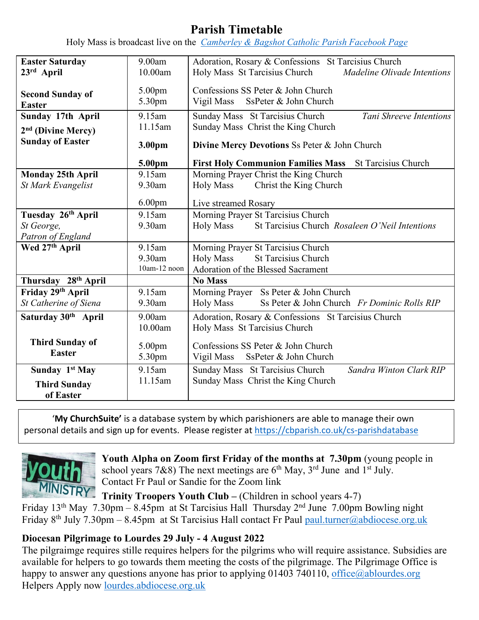## **Parish Timetable**

Holy Mass is broadcast live on the *[Camberley & Bagshot Catholic Parish Facebook Page](https://www.facebook.com/Camberley-Bagshot-Catholic-Parish-102099478101801/)*

| <b>Easter Saturday</b>              | 9.00am             | Adoration, Rosary & Confessions St Tarcisius Church                     |  |
|-------------------------------------|--------------------|-------------------------------------------------------------------------|--|
| 23rd April                          | 10.00am            | Holy Mass St Tarcisius Church<br>Madeline Olivade Intentions            |  |
|                                     |                    |                                                                         |  |
| <b>Second Sunday of</b>             | 5.00pm             | Confessions SS Peter & John Church                                      |  |
| <b>Easter</b>                       | 5.30pm             | Vigil Mass SsPeter & John Church                                        |  |
| Sunday 17th April                   | 9.15am             | Sunday Mass St Tarcisius Church<br>Tani Shreeve Intentions              |  |
| 2 <sup>nd</sup> (Divine Mercy)      | 11.15am            | Sunday Mass Christ the King Church                                      |  |
| <b>Sunday of Easter</b>             |                    |                                                                         |  |
|                                     | 3.00pm             | Divine Mercy Devotions Ss Peter & John Church                           |  |
|                                     | 5.00pm             | <b>First Holy Communion Families Mass</b><br><b>St Tarcisius Church</b> |  |
| <b>Monday 25th April</b>            | 9.15am             | Morning Prayer Christ the King Church                                   |  |
| <b>St Mark Evangelist</b>           | 9.30am             | <b>Holy Mass</b><br>Christ the King Church                              |  |
|                                     | 6.00 <sub>pm</sub> | Live streamed Rosary                                                    |  |
|                                     | 9.15am             | Morning Prayer St Tarcisius Church                                      |  |
| Tuesday 26 <sup>th</sup> April      |                    | St Tarcisius Church Rosaleen O'Neil Intentions                          |  |
| St George,                          | 9.30am             | <b>Holy Mass</b>                                                        |  |
| Patron of England<br>Wed 27th April | 9.15am             |                                                                         |  |
|                                     | 9.30am             | Morning Prayer St Tarcisius Church                                      |  |
|                                     | $10$ am- $12$ noon | <b>St Tarcisius Church</b><br><b>Holy Mass</b>                          |  |
|                                     |                    | Adoration of the Blessed Sacrament                                      |  |
| Thursday 28th April                 |                    | <b>No Mass</b>                                                          |  |
| Friday 29th April                   | 9.15am             | Morning Prayer Ss Peter & John Church                                   |  |
| St Catherine of Siena               | 9.30am             | Ss Peter & John Church Fr Dominic Rolls RIP<br><b>Holy Mass</b>         |  |
| Saturday 30 <sup>th</sup> April     | 9.00am             | Adoration, Rosary & Confessions St Tarcisius Church                     |  |
|                                     | 10.00am            | Holy Mass St Tarcisius Church                                           |  |
| <b>Third Sunday of</b>              | 5.00pm             | Confessions SS Peter & John Church                                      |  |
| <b>Easter</b>                       |                    | Vigil Mass SsPeter & John Church                                        |  |
|                                     | 5.30pm             |                                                                         |  |
| Sunday 1 <sup>st</sup> May          | 9.15am             | Sunday Mass St Tarcisius Church<br>Sandra Winton Clark RIP              |  |
| <b>Third Sunday</b>                 | 11.15am            | Sunday Mass Christ the King Church                                      |  |
| of Easter                           |                    |                                                                         |  |

'**My ChurchSuite'** is a database system by which parishioners are able to manage their own personal details and sign up for events. Please register at<https://cbparish.co.uk/cs-parishdatabase>



**Youth Alpha on Zoom first Friday of the months at 7.30pm** (young people in school years 7&8) The next meetings are  $6<sup>th</sup>$  May,  $3<sup>rd</sup>$  June and  $1<sup>st</sup>$  July. Contact Fr Paul or Sandie for the Zoom link

**Trinity Troopers Youth Club –** (Children in school years 4-7) Friday 13th May 7.30pm – 8.45pm at St Tarcisius HallThursday 2nd June 7.00pm Bowling night Friday 8<sup>th</sup> July 7.30pm – 8.45pm at St Tarcisius Hall contact Fr Paul paul.turner@abdiocese.org.uk

## **Diocesan Pilgrimage to Lourdes 29 July - 4 August 2022**

The pilgraimge requires stille requires helpers for the pilgrims who will require assistance. Subsidies are available for helpers to go towards them meeting the costs of the pilgrimage. The Pilgrimage Office is happy to answer any questions anyone has prior to applying 01403 740110, office@ablourdes.org Helpers Apply now [lourdes.abdiocese.org.uk](https://eur02.safelinks.protection.outlook.com/?url=https%3A%2F%2Fwww.abdiocese.org.uk%2Flourdes%2Fhome&data=05%7C01%7Cpaul.turner%40abdiocese.org.uk%7C50ba290405464d79a90208da22174e11%7C2bf5dbc217ef4efca1c9ab2dc4edefd0%7C0%7C0%7C637859780772621089%7CUnknown%7CTWFpbGZsb3d8eyJWIjoiMC4wLjAwMDAiLCJQIjoiV2luMzIiLCJBTiI6Ik1haWwiLCJXVCI6Mn0%3D%7C1000%7C%7C%7C&sdata=mhm4lDHZcpDrji2dqUDLZLV7buLSLRkmITn1Ehf%2BQBI%3D&reserved=0)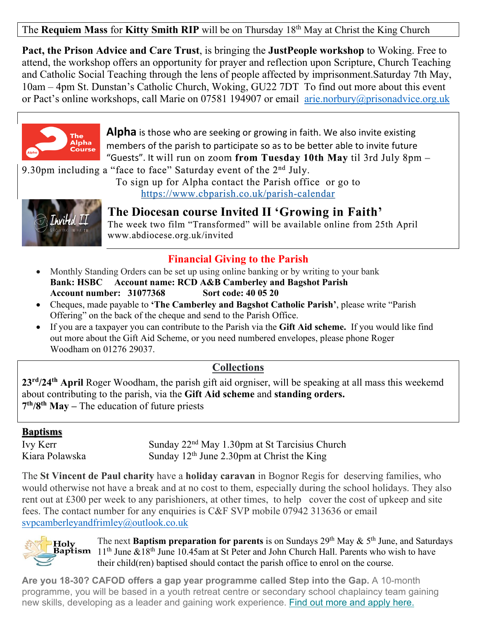The **Requiem Mass** for **Kitty Smith RIP** will be on Thursday 18th May at Christ the King Church

**Pact, the Prison Advice and Care Trust**, is bringing the **JustPeople workshop** to Woking. Free to attend, the workshop offers an opportunity for prayer and reflection upon Scripture, Church Teaching and Catholic Social Teaching through the lens of people affected by imprisonment.Saturday 7th May, 10am – 4pm St. Dunstan's Catholic Church, Woking, GU22 7DT To find out more about this event or Pact's online workshops, call Marie on 07581 194907 or email [arie.norbury@prisonadvice.org.uk](mailto:arie.norbury@prisonadvice.org.uk)



**Alpha** is those who are seeking or growing in faith. We also invite existing members of the parish to participate so as to be better able to invite future "Guests". It will run on zoom **from Tuesday 10th May** til 3rd July 8pm –

9.30pm including a "face to face" Saturday event of the  $2<sup>nd</sup>$  July.

To sign up for Alpha contact the Parish office or go to <https://www.cbparish.co.uk/parish-calendar>



**The Diocesan course Invited II 'Growing in Faith'** 

The week two film "Transformed" will be available online from 25th April www.abdiocese.org.uk/invited

## **Financial Giving to the Parish**

- Monthly Standing Orders can be set up using online banking or by writing to your bank **Bank: HSBC Account name: RCD A&B Camberley and Bagshot Parish Account number: 31077368 Sort code: 40 05 20**
- Cheques, made payable to **'The Camberley and Bagshot Catholic Parish'**, please write "Parish Offering" on the back of the cheque and send to the Parish Office.
- If you are a taxpayer you can contribute to the Parish via the **Gift Aid scheme.** If you would like find out more about the Gift Aid Scheme, or you need numbered envelopes, please phone Roger Woodham on 01276 29037.

## **Collections**

**23rd/24th April** Roger Woodham, the parish gift aid orgniser, will be speaking at all mass this weekemd about contributing to the parish, via the **Gift Aid scheme** and **standing orders. 7th/8th May –** The education of future priests

#### **Baptisms**

Ivy Kerr Sunday 22<sup>nd</sup> May 1.30pm at St Tarcisius Church Kiara Polawska Sunday  $12<sup>th</sup>$  June 2.30pm at Christ the King

The **St Vincent de Paul charity** have a **holiday caravan** in Bognor Regis for deserving families, who would otherwise not have a break and at no cost to them, especially during the school holidays. They also rent out at £300 per week to any parishioners, at other times, to help cover the cost of upkeep and site fees. The contact number for any enquiries is C&F SVP mobile 07942 313636 or email [svpcamberleyandfrimley@outlook.co.uk](mailto:svpcamberleyandfrimley@outlook.co.uk)

The next **Baptism preparation for parents** is on Sundays 29th May & 5th June, and Saturdays 11<sup>th</sup> June &18<sup>th</sup> June 10.45am at St Peter and John Church Hall. Parents who wish to have their child(ren) baptised should contact the parish office to enrol on the course.

**Are you 18-30? CAFOD offers a gap year programme called Step into the Gap.** A 10-month programme, you will be based in a youth retreat centre or secondary school chaplaincy team gaining new skills, developing as a leader and gaining work experience. Find out more and [apply](https://eur02.safelinks.protection.outlook.com/?url=https%3A%2F%2Fabdiocese.us9.list-manage.com%2Ftrack%2Fclick%3Fu%3D6ad3715cf61665df736c264a6%26id%3D58d1b10944%26e%3D1f942c9333&data=04%7C01%7Cpaul.turner%40abdiocese.org.uk%7C8cd47d1f94194aea239708da1333c44b%7C2bf5dbc217ef4efca1c9ab2dc4edefd0%7C0%7C0%7C637843410310945366%7CUnknown%7CTWFpbGZsb3d8eyJWIjoiMC4wLjAwMDAiLCJQIjoiV2luMzIiLCJBTiI6Ik1haWwiLCJXVCI6Mn0%3D%7C3000&sdata=S629u%2B64MRryOCRaA8Ep2Md4%2FfRVZ5%2BPswAmdKqYTX4%3D&reserved=0) here.